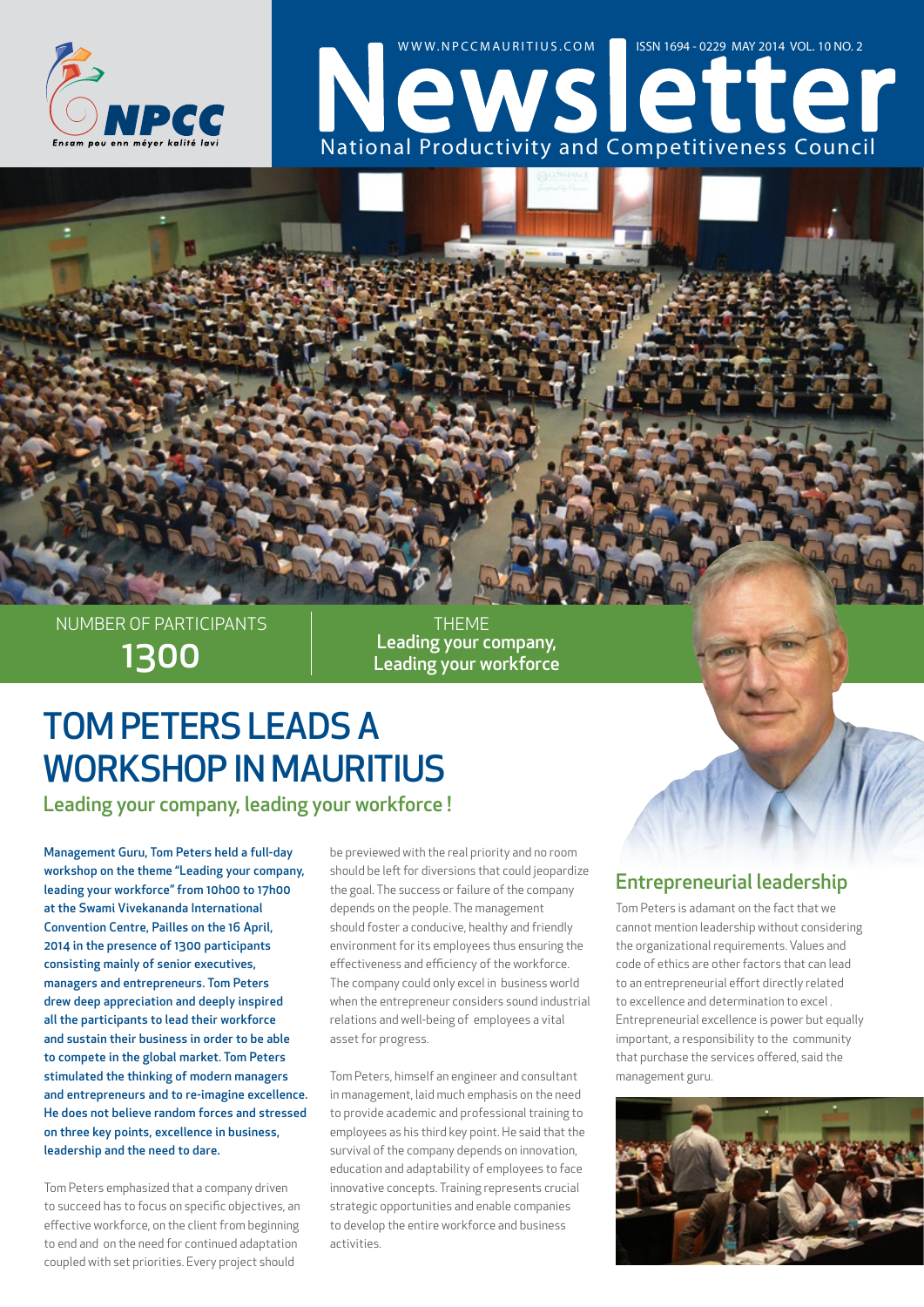

# NATIONS COMPLETE WWW.NPCCMAURITIUS.COM 35N 1694 - 0229 MAY 2014 VOL. 10 NO. 2

1300 NUMBER OF PARTICIPANTS

Leading your company, Leading your workforce **THEME** 

## TOM PETERS LEADS A WORKSHOP IN MAURITIUS

Leading your company, leading your workforce !

Management Guru, Tom Peters held a full-day workshop on the theme "Leading your company, leading your workforce" from 10h00 to 17h00 at the Swami Vivekananda International Convention Centre, Pailles on the 16 April, 2014 in the presence of 1300 participants consisting mainly of senior executives, managers and entrepreneurs. Tom Peters drew deep appreciation and deeply inspired all the participants to lead their workforce and sustain their business in order to be able to compete in the global market. Tom Peters stimulated the thinking of modern managers and entrepreneurs and to re-imagine excellence. He does not believe random forces and stressed on three key points, excellence in business, leadership and the need to dare.

Tom Peters emphasized that a company driven to succeed has to focus on specific objectives, an effective workforce, on the client from beginning to end and on the need for continued adaptation coupled with set priorities. Every project should

be previewed with the real priority and no room should be left for diversions that could jeopardize the goal. The success or failure of the company depends on the people. The management should foster a conducive, healthy and friendly environment for its employees thus ensuring the effectiveness and efficiency of the workforce. The company could only excel in business world when the entrepreneur considers sound industrial relations and well-being of employees a vital asset for progress.

Tom Peters, himself an engineer and consultant in management, laid much emphasis on the need to provide academic and professional training to employees as his third key point. He said that the survival of the company depends on innovation, education and adaptability of employees to face innovative concepts. Training represents crucial strategic opportunities and enable companies to develop the entire workforce and business activities.

#### Entrepreneurial leadership

Tom Peters is adamant on the fact that we cannot mention leadership without considering the organizational requirements. Values and code of ethics are other factors that can lead to an entrepreneurial effort directly related to excellence and determination to excel . Entrepreneurial excellence is power but equally important, a responsibility to the community that purchase the services offered, said the management guru.

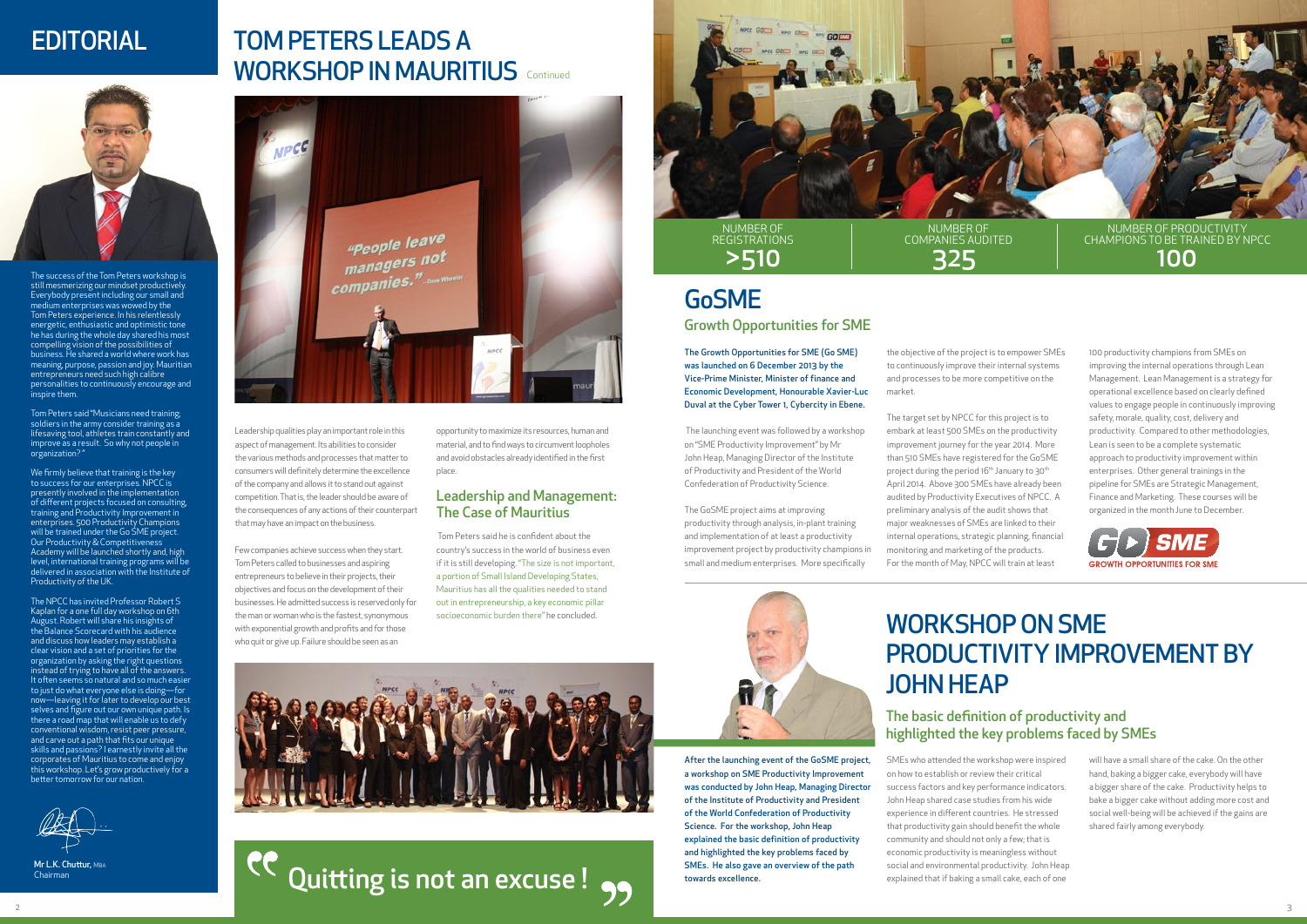

## TOM PETERS LEADS A WORKSHOP IN MAURITIUS Continued



Leadership qualities play an important role in this aspect of management. Its abilities to consider the various methods and processes that matter to consumers will definitely determine the excellence of the company and allows it to stand out against competition. That is, the leader should be aware of the consequences of any actions of their counterpart that may have an impact on the business.

Few companies achieve success when they start. Tom Peters called to businesses and aspiring entrepreneurs to believe in their projects, their objectives and focus on the development of their businesses. He admitted success is reserved only for the man or woman who is the fastest, synonymous with exponential growth and profits and for those who quit or give up. Failure should be seen as an

opportunity to maximize its resources, human and material, and to find ways to circumvent loopholes and avoid obstacles already identified in the first place.

 Tom Peters said he is confident about the country's success in the world of business even if it is still developing. "The size is not important, a portion of Small Island Developing States, Mauritius has all the qualities needed to stand out in entrepreneurship, a key economic pillar socioeconomic burden there" he concluded.



#### Leadership and Management: The Case of Mauritius

## EDITORIAL

The success of the Tom Peters workshop is still mesmerizing our mindset productively. Everybody present including our small and medium enterprises was wowed by the Tom Peters experience. In his relentlessly energetic, enthusiastic and optimistic tone he has during the whole day shared his most compelling vision of the possibilities of business. He shared a world where work has meaning, purpose, passion and joy. Mauritian neurs need such high calibre personalities to continuously encourage and inspire them.



Mr L.K. Chuttur, MBA Chairman



Tom Peters said "Musicians need training; soldiers in the army consider training as a lifesaving tool, athletes train constantly and improve as a result. So why not people in organization? "

We firmly believe that training is the key to success for our enterprises. NPCC is presently involved in the implementation of different projects focused on consulting, training and Productivity Improvement in enterprises. 500 Productivity Champions will be trained under the Go SME project. Our Productivity & Competitiveness Academy will be launched shortly and, high level, international training programs will be delivered in association with the Institute of Productivity of the UK.

The NPCC has invited Professor Robert S Kaplan for a one full day workshop on 6th st. Robert will share his insights of the Balance Scorecard with his audience and discuss how leaders may establish a clear vision and a set of priorities for the organization by asking the right questions instead of trying to have all of the answers. It often seems so natural and so much easier to just do what everyone else is doing—for now—leaving it for later to develop our best selves and figure out our own unique path. Is there a road map that will enable us to defy conventional wisdom, resist peer pressure, and carve out a path that fits our unique skills and passions? I earnestly invite all the corporates of Mauritius to come and enjoy this workshop. Let's grow productively for a better tomorrow for our nation.

The Growth Opportunities for SME (Go SME) was launched on 6 December 2013 by the Vice-Prime Minister, Minister of finance and Economic Development, Honourable Xavier-Luc Duval at the Cyber Tower 1, Cybercity in Ebene.

 The launching event was followed by a workshop on "SME Productivity Improvement" by Mr John Heap, Managing Director of the Institute of Productivity and President of the World Confederation of Productivity Science.

The GoSME project aims at improving productivity through analysis, in-plant training and implementation of at least a productivity improvement project by productivity champions in small and medium enterprises. More specifically

the objective of the project is to empower SMEs to continuously improve their internal systems and processes to be more competitive on the market.

The target set by NPCC for this project is to embark at least 500 SMEs on the productivity improvement journey for the year 2014. More than 510 SMEs have registered for the GoSME project during the period 16<sup>th</sup> January to 30<sup>th</sup> April 2014. Above 300 SMEs have already been audited by Productivity Executives of NPCC. A preliminary analysis of the audit shows that major weaknesses of SMEs are linked to their internal operations, strategic planning, financial monitoring and marketing of the products. For the month of May, NPCC will train at least



100 productivity champions from SMEs on improving the internal operations through Lean Management. Lean Management is a strategy for operational excellence based on clearly defined values to engage people in continuously improving safety, morale, quality, cost, delivery and productivity. Compared to other methodologies, Lean is seen to be a complete systematic approach to productivity improvement within enterprises. Other general trainings in the pipeline for SMEs are Strategic Management, Finance and Marketing. These courses will be organized in the month June to December.



After the launching event of the GoSME project, a workshop on SME Productivity Improvement was conducted by John Heap, Managing Director of the Institute of Productivity and President of the World Confederation of Productivity Science. For the workshop, John Heap explained the basic definition of productivity and highlighted the key problems faced by SMEs. He also gave an overview of the path towards excellence.

SMEs who attended the workshop were inspired on how to establish or review their critical success factors and key performance indicators. John Heap shared case studies from his wide experience in different countries. He stressed that productivity gain should benefit the whole community and should not only a few; that is economic productivity is meaningless without social and environmental productivity. John Heap explained that if baking a small cake, each of one



PC Quitting is not an excuse!

will have a small share of the cake. On the other hand, baking a bigger cake, everybody will have a bigger share of the cake. Productivity helps to bake a bigger cake without adding more cost and social well-being will be achieved if the gains are shared fairly among everybody.

# GoSME

# WORKSHOP ON SME PRODUCTIVITY IMPROVEMENT BY JOHN HEAP

Growth Opportunities for SME

### The basic definition of productivity and highlighted the key problems faced by SMEs

NUMBER OF REGISTRATIONS

NUMBER OF COMPANIES AUDITED

#### >510 325 100 NUMBER OF PRODUCTIVITY CHAMPIONS TO BE TRAINED BY NPCC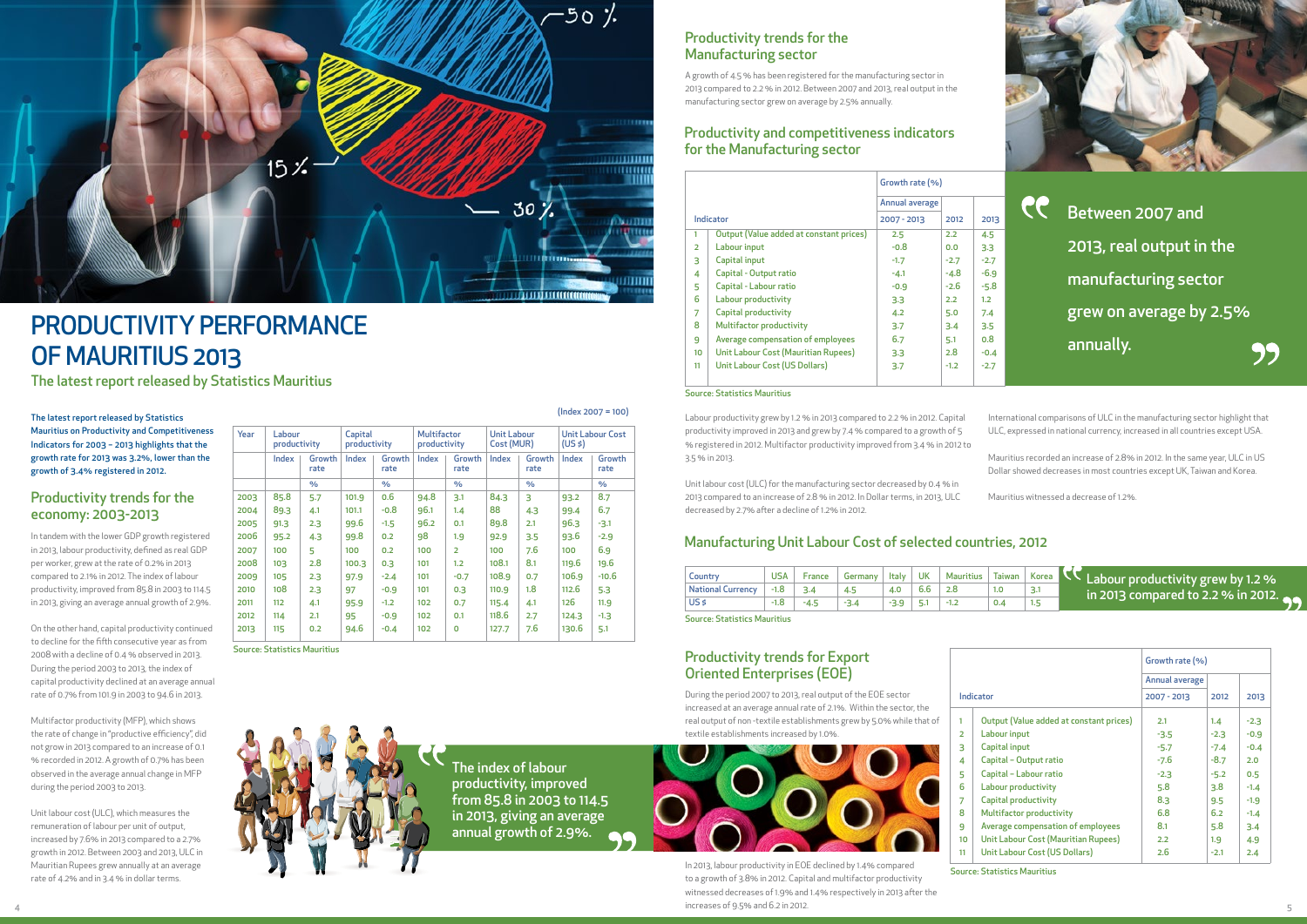The index of labour productivity, improved from 85.8 in 2003 to 114.5 in 2013, giving an average annual growth of 2.9%.

#### The latest report released by Statistics Mauritius on Productivity and Competitiveness Indicators for 2003 – 2013 highlights that the growth rate for 2013 was 3.2%, lower than the growth of 3.4% registered in 2012.

In tandem with the lower GDP growth registered in 2013, labour productivity, defined as real GDP per worker, grew at the rate of 0.2% in 2013 compared to 2.1% in 2012. The index of labour productivity, improved from 85.8 in 2003 to 114.5 in 2013, giving an average annual growth of 2.9%.

On the other hand, capital productivity continued to decline for the fifth consecutive year as from 2008 with a decline of 0.4 % observed in 2013. During the period 2003 to 2013, the index of capital productivity declined at an average annual rate of 0.7% from 101.9 in 2003 to 94.6 in 2013.

 $4 \times 2012$ . In 2013, labour productivity in EOE declined by 1.4% compared to a growth of 3.8% in 2012. Capital and multifactor productivity witnessed decreases of 1.9% and 1.4% respectively in 2013 after the increases of 9.5% and 6.2 in 2012.

Multifactor productivity (MFP), which shows the rate of change in "productive efficiency", did not grow in 2013 compared to an increase of 0.1 % recorded in 2012. A growth of 0.7% has been observed in the average annual change in MFP during the period 2003 to 2013.

Unit labour cost (ULC), which measures the remuneration of labour per unit of output, increased by 7.6% in 2013 compared to a 2.7% growth in 2012. Between 2003 and 2013, ULC in Mauritian Rupees grew annually at an average rate of 4.2% and in 3.4 % in dollar terms.

| Country                  | <b>USA</b> | France | Germany | Italy | <b>UK</b> | Mauritius | Taiwan | Korea | <b>Example 20 Labour productivity grew by 1.2 %</b> |
|--------------------------|------------|--------|---------|-------|-----------|-----------|--------|-------|-----------------------------------------------------|
| <b>National Currency</b> |            |        |         | 4.0   |           |           |        |       | in 2013 compared to 2.2 % in 2012.                  |
| US <sub>s</sub>          | $-1.8$     | -4.5   | $-3.4$  |       |           | $-1.2$    | 0.4    |       |                                                     |

During the period 2007 to 2013, real output of the EOE sector increased at an average annual rate of 2.1%. Within the sector, the real output of non -textile establishments grew by 5.0% while that of textile establishments increased by 1.0%.



Labour productivity grew by 1.2 % in 2013 compared to 2.2 % in 2012. Capital productivity improved in 2013 and grew by 7.4 % compared to a growth of 5 % registered in 2012. Multifactor productivity improved from 3.4 % in 2012 to 3.5 % in 2013.

|                           | <b>Productivity trends for the</b><br><b>Manufacturing sector</b><br>A growth of 4.5% has been registered for the manufacturing sector in<br>2013 compared to 2.2 % in 2012. Between 2007 and 2013, real output in the<br>manufacturing sector grew on average by 2.5% annually.<br><b>Productivity and competitiveness indicators</b> |                               |                      |                         |           |                          |  |
|---------------------------|----------------------------------------------------------------------------------------------------------------------------------------------------------------------------------------------------------------------------------------------------------------------------------------------------------------------------------------|-------------------------------|----------------------|-------------------------|-----------|--------------------------|--|
|                           | for the Manufacturing sector                                                                                                                                                                                                                                                                                                           | Growth rate (%)               |                      |                         |           |                          |  |
|                           |                                                                                                                                                                                                                                                                                                                                        |                               |                      |                         |           |                          |  |
|                           | Indicator                                                                                                                                                                                                                                                                                                                              | Annual average<br>2007 - 2013 | 2012                 | 2013                    | <b>CC</b> | Between 2007 and         |  |
| 1.<br>$\overline{2}$<br>3 | <b>Output (Value added at constant prices)</b><br>Labour input<br>Capital input                                                                                                                                                                                                                                                        | 2.5<br>$-0.8$<br>$-1.7$       | 2.2<br>0.0<br>$-2.7$ | 4.5<br>3.3<br>$-2.7$    |           | 2013, real output in the |  |
| 4<br>5<br>6               | Capital - Output ratio<br>Capital - Labour ratio                                                                                                                                                                                                                                                                                       | $-4.1$<br>$-0.9$              | $-4.8$<br>$-2.6$     | $-6.9$<br>$-5.8$        |           | manufacturing sector     |  |
| 7<br>8                    | Labour productivity<br><b>Capital productivity</b><br><b>Multifactor productivity</b>                                                                                                                                                                                                                                                  | 3.3<br>4.2<br>3.7             | 2.2<br>5.0<br>3.4    | 1.2<br>7.4<br>3.5       |           | grew on average by 2.5%  |  |
| 9<br>10<br>11             | Average compensation of employees<br><b>Unit Labour Cost (Mauritian Rupees)</b><br><b>Unit Labour Cost (US Dollars)</b>                                                                                                                                                                                                                | 6.7<br>3.3<br>3.7             | 5.1<br>2.8<br>$-1.2$ | 0.8<br>$-0.4$<br>$-2.7$ |           | annually.                |  |
|                           |                                                                                                                                                                                                                                                                                                                                        |                               |                      |                         |           |                          |  |

International comparisons of ULC in the manufacturing sector highlight that ULC, expressed in national currency, increased in all countries except USA.

Mauritius recorded an increase of 2.8% in 2012. In the same year, ULC in US Dollar showed decreases in most countries except UK, Taiwan and Korea.

|                                |       |                       |       |                         |       |                |       |                                           |       |               | Labour productivity grew by i.2 % in 2013 compared to 2.2 % in 2012. Capital                                           |                                                                           |               |         |              |           |                  |                                                                                  |       | <u>INTERNational Companyons of OLC in the</u> |                                  |  |            |                         |                                                                                                                                                            |  |  |  |  |  |  |  |  |                                           |  |
|--------------------------------|-------|-----------------------|-------|-------------------------|-------|----------------|-------|-------------------------------------------|-------|---------------|------------------------------------------------------------------------------------------------------------------------|---------------------------------------------------------------------------|---------------|---------|--------------|-----------|------------------|----------------------------------------------------------------------------------|-------|-----------------------------------------------|----------------------------------|--|------------|-------------------------|------------------------------------------------------------------------------------------------------------------------------------------------------------|--|--|--|--|--|--|--|--|-------------------------------------------|--|
| Year<br>Labour<br>productivity |       |                       |       | Capital<br>productivity |       |                |       |                                           |       |               |                                                                                                                        |                                                                           |               |         |              |           |                  |                                                                                  |       | <b>Multifactor</b><br>productivity            | <b>Unit Labour</b><br>Cost (MUR) |  | $(US \xi)$ | <b>Unit Labour Cost</b> | productivity improved in 2013 and grew by 7.4 % compared to a growth of 5<br>% registered in 2012. Multifactor productivity improved from 3.4 % in 2012 to |  |  |  |  |  |  |  |  | ULC, expressed in national currency, incr |  |
|                                | Index | <b>Growth</b><br>rate | Index | Growth  <br>rate        | Index | Growth<br>rate | Index | Growth<br>Growth<br>Index<br>rate<br>rate |       |               | 3.5% in 2013.                                                                                                          |                                                                           |               |         |              |           |                  | Mauritius recorded an increase of 2.8%<br>Dollar showed decreases in most countr |       |                                               |                                  |  |            |                         |                                                                                                                                                            |  |  |  |  |  |  |  |  |                                           |  |
|                                |       | $\frac{9}{6}$         |       | %                       |       | $\%$           |       | $\%$                                      |       | $\frac{9}{6}$ |                                                                                                                        | Unit labour cost (ULC) for the manufacturing sector decreased by 0.4 % in |               |         |              |           |                  |                                                                                  |       |                                               |                                  |  |            |                         |                                                                                                                                                            |  |  |  |  |  |  |  |  |                                           |  |
| 2003                           | 85.8  | 5.7                   | 101.9 | 0.6                     | 94.8  | 3.1            | 84.3  |                                           | 93.2  | 8.7           | 2013 compared to an increase of 2.8 % in 2012. In Dollar terms, in 2013, ULC<br>Mauritius witnessed a decrease of 1.2% |                                                                           |               |         |              |           |                  |                                                                                  |       |                                               |                                  |  |            |                         |                                                                                                                                                            |  |  |  |  |  |  |  |  |                                           |  |
| 2004                           | 89.3  | 4.1                   | 101.1 | $-0.8$                  | 96.1  | 1.4            | 88    | 4.3                                       | 99.4  | 6.7           | decreased by 2.7% after a decline of 1.2% in 2012.                                                                     |                                                                           |               |         |              |           |                  |                                                                                  |       |                                               |                                  |  |            |                         |                                                                                                                                                            |  |  |  |  |  |  |  |  |                                           |  |
| 2005                           | 91.3  | 2.3                   | 99.6  | $-1.5$                  | 96.2  | 0.1            | 89.8  | 2.1                                       | 96.3  | $-3.1$        |                                                                                                                        |                                                                           |               |         |              |           |                  |                                                                                  |       |                                               |                                  |  |            |                         |                                                                                                                                                            |  |  |  |  |  |  |  |  |                                           |  |
| 2006                           | 95.2  | 4.3                   | 99.8  | 0.2                     | 98    | 1.9            | 92.9  | 3.5                                       | 93.6  | $-2.9$        | <b>Manufacturing Unit Labour Cost of selected countries, 2012</b>                                                      |                                                                           |               |         |              |           |                  |                                                                                  |       |                                               |                                  |  |            |                         |                                                                                                                                                            |  |  |  |  |  |  |  |  |                                           |  |
| 2007                           | 100   |                       | 100   | 0.2                     | 100   |                | 100   | 7.6                                       | 100   | 6.9           |                                                                                                                        |                                                                           |               |         |              |           |                  |                                                                                  |       |                                               |                                  |  |            |                         |                                                                                                                                                            |  |  |  |  |  |  |  |  |                                           |  |
| 2008                           | 103   | 2.8                   | 100.3 | 0.3                     | 101   | 1.2            | 108.1 | 8.1                                       | 119.6 | 19.6          |                                                                                                                        |                                                                           |               |         |              |           |                  |                                                                                  |       |                                               |                                  |  |            |                         |                                                                                                                                                            |  |  |  |  |  |  |  |  |                                           |  |
| 2009                           | 105   | 2.3                   | 97.9  | $-2.4$                  | 101   | $-0.7$         | 108.9 | 0.7                                       | 106.9 | $-10.6$       | Country                                                                                                                | <b>USA</b>                                                                | <b>France</b> | Germany | <b>Italy</b> | <b>UK</b> | <b>Mauritius</b> | Taiwan                                                                           | Korea | <b>Adv</b>                                    | Labour p                         |  |            |                         |                                                                                                                                                            |  |  |  |  |  |  |  |  |                                           |  |
| 2010                           | 108   | 2.3                   | 97    | $-0.9$                  | 101   | 0.3            | 110.9 | 1.8                                       | 112.6 | 5.3           | <b>National Currency</b>                                                                                               | $-1.8$                                                                    | 3.4           | 4.5     | 4.0          | 6.6       | 2.8              | 1.0                                                                              | 3.1   |                                               | in 2013 c                        |  |            |                         |                                                                                                                                                            |  |  |  |  |  |  |  |  |                                           |  |
| 2011                           | 112   | 4.1                   | 95.9  | $-1.2$                  | 102   | 0.7            | 115.4 | 4.1                                       | 126   | 11.9          | US \$                                                                                                                  | $-1.8$                                                                    | $-4.5$        | $-3.4$  | $-3.9$       | 5.1       | $-1.2$           | 0.4                                                                              | 1.5   |                                               |                                  |  |            |                         |                                                                                                                                                            |  |  |  |  |  |  |  |  |                                           |  |
| 2012                           | 114   | 2.1                   | 95    | $-0.9$                  | 102   | 0.1            | 118.6 | 2.7                                       | 124.3 | $-1.3$        | <b>Source: Statistics Mauritius</b>                                                                                    |                                                                           |               |         |              |           |                  |                                                                                  |       |                                               |                                  |  |            |                         |                                                                                                                                                            |  |  |  |  |  |  |  |  |                                           |  |
| 2013                           | 115   | 0.2                   | 94.6  | $-0.4$                  | 102   |                | 127.7 | 7.6                                       | 130.6 | 5.1           |                                                                                                                        |                                                                           |               |         |              |           |                  |                                                                                  |       |                                               |                                  |  |            |                         |                                                                                                                                                            |  |  |  |  |  |  |  |  |                                           |  |

(Index 2007 = 100)

Source: Statistics Mauritius



#### Source: Statistics Mauritius



# PRODUCTIVITY PERFORMANCE OF MAURITIUS 2013

The latest report released by Statistics Mauritius

### Productivity trends for the economy: 2003-2013

# Manufacturing sector

### Productivity trends for Export Oriented Enterprises (EOE)

# for the Manufacturing sector

### Manufacturing Unit Labour Cost of selected countries, 2012

1

|    |                                            | Growth rate (%) |        |        |  |  |  |
|----|--------------------------------------------|-----------------|--------|--------|--|--|--|
|    |                                            | Annual average  |        |        |  |  |  |
|    | Indicator                                  | 2007 - 2013     | 2012   | 2013   |  |  |  |
| 1  | Output (Value added at constant prices)    | 2.1             | 1.4    | $-2.3$ |  |  |  |
| 2  | Labour input                               | $-3.5$          | $-2.3$ | $-0.9$ |  |  |  |
| 3  | Capital input                              | $-5.7$          | $-7.4$ | $-0.4$ |  |  |  |
| 4  | Capital - Output ratio                     | $-7.6$          | $-8.7$ | 2.0    |  |  |  |
| 5  | Capital - Labour ratio                     | $-2.3$          | $-5.2$ | 0.5    |  |  |  |
| 6  | <b>Labour productivity</b>                 | 5.8             | 3.8    | $-1.4$ |  |  |  |
| 7  | <b>Capital productivity</b>                | 8.3             | 9.5    | $-1.9$ |  |  |  |
| 8  | <b>Multifactor productivity</b>            | 6.8             | 6.2    | $-1.4$ |  |  |  |
| 9  | Average compensation of employees          | 8.1             | 5.8    | 3.4    |  |  |  |
| 10 | <b>Unit Labour Cost (Mauritian Rupees)</b> | 2.2             | 1.9    | 4.9    |  |  |  |
| 11 | Unit Labour Cost (US Dollars)              | 2.6             | $-2.1$ | 2.4    |  |  |  |
|    |                                            |                 |        |        |  |  |  |

Source: Statistics Mauritius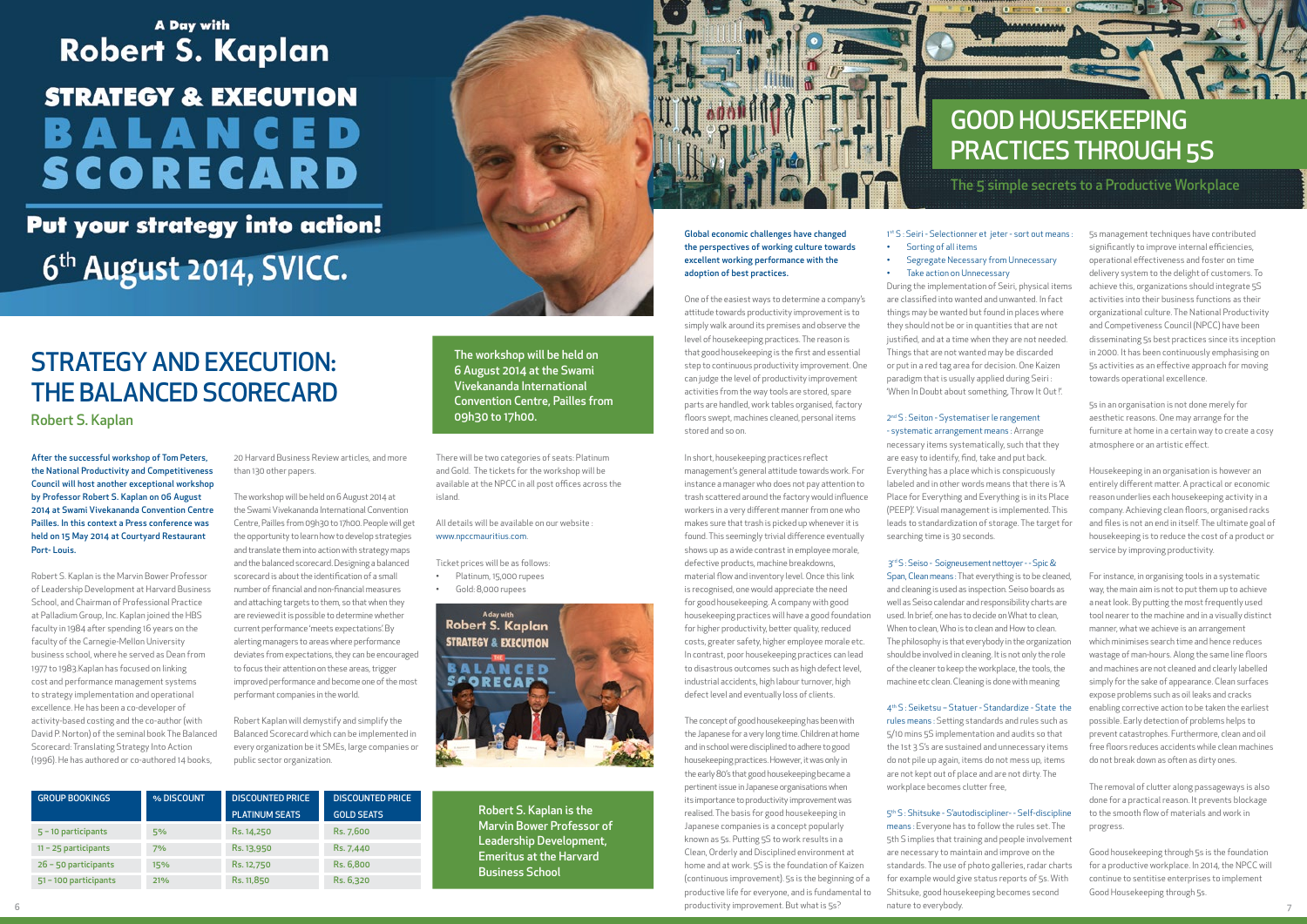# A Day with **Robert S. Kaplan**

# **STRATEGY & EXECUTION** BALANCED SCORECARD

Put your strategy into action! 6<sup>th</sup> August 2014, SVICC.

After the successful workshop of Tom Peters, the National Productivity and Competitiveness Council will host another exceptional workshop by Professor Robert S. Kaplan on 06 August 2014 at Swami Vivekananda Convention Centre Pailles. In this context a Press conference was held on 15 May 2014 at Courtyard Restaurant Port- Louis.

Robert S. Kaplan is the Marvin Bower Professor of Leadership Development at Harvard Business School, and Chairman of Professional Practice at Palladium Group, Inc. Kaplan joined the HBS faculty in 1984 after spending 16 years on the faculty of the Carnegie-Mellon University business school, where he served as Dean from 1977 to 1983.Kaplan has focused on linking cost and performance management systems to strategy implementation and operational excellence. He has been a co-developer of activity-based costing and the co-author (with David P. Norton) of the seminal book The Balanced Scorecard: Translating Strategy Into Action (1996). He has authored or co-authored 14 books,

20 Harvard Business Review articles, and more than 130 other papers.

#### All details will be available on our website www.npccmauritius.com.

The workshop will be held on 6 August 2014 at the Swami Vivekananda International Convention Centre, Pailles from 09h30 to 17h00. People will get the opportunity to learn how to develop strategies and translate them into action with strategy maps and the balanced scorecard. Designing a balanced scorecard is about the identification of a small number of financial and non-financial measures and attaching targets to them, so that when they are reviewed it is possible to determine whether current performance 'meets expectations'. By alerting managers to areas where performance deviates from expectations, they can be encouraged to focus their attention on these areas, trigger improved performance and become one of the most performant companies in the world.

Robert Kaplan will demystify and simplify the Balanced Scorecard which can be implemented in every organization be it SMEs, large companies or public sector organization.

There will be two categories of seats: Platinum and Gold. The tickets for the workshop will be available at the NPCC in all post offices across the island.

Ticket prices will be as follows:

- • Platinum, 15,000 rupees
- • Gold: 8,000 rupees



# STRATEGY AND EXECUTION: THE BALANCED SCORECARD

Robert S. Kaplan

| <b>GROUP BOOKINGS</b>  | % DISCOUNT | <b>DISCOUNTED PRICE</b> | <b>DISCOUNTED PRICE</b> |  |  |  |
|------------------------|------------|-------------------------|-------------------------|--|--|--|
|                        |            | <b>PLATINUM SEATS</b>   | <b>GOLD SEATS</b>       |  |  |  |
| $5 - 10$ participants  | 5%         | Rs. 14,250              | Rs. 7,600               |  |  |  |
| $11 - 25$ participants | 7%         | Rs. 13,950              | Rs. 7,440               |  |  |  |
| $26 - 50$ participants | 15%        | Rs. 12,750              | Rs. 6,800               |  |  |  |
| 51-100 participants    | 21%        | Rs. 11,850              | Rs. 6,320               |  |  |  |

Robert S. Kaplan is the Marvin Bower Professor of Leadership Development, Emeritus at the Harvard Business School



The workshop will be held on 6 August 2014 at the Swami Vivekananda International Convention Centre, Pailles from 09h30 to 17h00.

Global economic challenges have changed the perspectives of working culture towards excellent working performance with the adoption of best practices.

One of the easiest ways to determine a company's attitude towards productivity improvement is to simply walk around its premises and observe the level of housekeeping practices. The reason is that good housekeeping is the first and essential step to continuous productivity improvement. One can judge the level of productivity improvement activities from the way tools are stored, spare parts are handled, work tables organised, factory floors swept, machines cleaned, personal items stored and so on.

 $\beta$  6  $\beta$  and the experiment of the experiment. But what is 55. That what is 55. The experiment of the experiment of the experiment. But what is 55. That what is 55. The experiment of  $\beta$ means : Everyone has to follow the rules set. The 5th S implies that training and people involvement are necessary to maintain and improve on the standards. The use of photo galleries, radar charts for example would give status reports of 5s. With Shitsuke, good housekeeping becomes second nature to everybody.

In short, housekeeping practices reflect management's general attitude towards work. For instance a manager who does not pay attention to trash scattered around the factory would influence workers in a very different manner from one who makes sure that trash is picked up whenever it is found. This seemingly trivial difference eventually shows up as a wide contrast in employee morale, defective products, machine breakdowns, material flow and inventory level. Once this link is recognised, one would appreciate the need for good housekeeping. A company with good housekeeping practices will have a good foundation for higher productivity, better quality, reduced costs, greater safety, higher employee morale etc. In contrast, poor housekeeping practices can lead to disastrous outcomes such as high defect level, industrial accidents, high labour turnover, high defect level and eventually loss of clients.

The concept of good housekeeping has been with the Japanese for a very long time. Children at home and in school were disciplined to adhere to good housekeeping practices. However, it was only in the early 80's that good housekeeping became a pertinent issue in Japanese organisations when its importance to productivity improvement was realised. The basis for good housekeeping in Japanese companies is a concept popularly known as 5s. Putting 5S to work results in a Clean, Orderly and Disciplined environment at home and at work. 5S is the foundation of Kaizen (continuous improvement). 5s is the beginning of a productive life for everyone, and is fundamental to productivity improvement. But what is 5s?

• Sorting of all items **Segregate Necessary from Unnecessary** • Take action on Unnecessary

During the implementation of Seiri, physical items are classified into wanted and unwanted. In fact things may be wanted but found in places where they should not be or in quantities that are not justified, and at a time when they are not needed. Things that are not wanted may be discarded or put in a red tag area for decision. One Kaizen paradigm that is usually applied during Seiri : 'When In Doubt about something, Throw It Out !'.

## 2<sup>nd</sup> S : Seiton - Systematiser le rangement

- systematic arrangement means : Arrange necessary items systematically, such that they are easy to identify, find, take and put back. Everything has a place which is conspicuously labeled and in other words means that there is 'A Place for Everything and Everything is in its Place (PEEP)'. Visual management is implemented. This leads to standardization of storage. The target for searching time is 30 seconds.

# 3rd S : Seiso - Soigneusement nettoyer - - Spic &

Span, Clean means : That everything is to be cleaned, and cleaning is used as inspection. Seiso boards as well as Seiso calendar and responsibility charts are used. In brief, one has to decide on What to clean, When to clean, Who is to clean and How to clean. The philosophy is that everybody in the organization should be involved in cleaning. It is not only the role of the cleaner to keep the workplace, the tools, the machine etc clean. Cleaning is done with meaning

4th S : Seiketsu – Statuer - Standardize - State the rules means : Setting standards and rules such as 5/10 mins 5S implementation and audits so that the 1st 3 S's are sustained and unnecessary items do not pile up again, items do not mess up, items are not kept out of place and are not dirty. The workplace becomes clutter free,

5th S : Shitsuke - S'autodiscipliner- - Self-discipline

5s management techniques have contributed significantly to improve internal efficiencies, operational effectiveness and foster on time delivery system to the delight of customers. To achieve this, organizations should integrate 5S activities into their business functions as their organizational culture. The National Productivity and Competiveness Council (NPCC) have been disseminating 5s best practices since its inception in 2000. It has been continuously emphasising on 5s activities as an effective approach for moving towards operational excellence.

5s in an organisation is not done merely for aesthetic reasons. One may arrange for the furniture at home in a certain way to create a cosy atmosphere or an artistic effect.

Housekeeping in an organisation is however an entirely different matter. A practical or economic reason underlies each housekeeping activity in a company. Achieving clean floors, organised racks and files is not an end in itself. The ultimate goal of housekeeping is to reduce the cost of a product or service by improving productivity.

For instance, in organising tools in a systematic way, the main aim is not to put them up to achieve a neat look. By putting the most frequently used tool nearer to the machine and in a visually distinct manner, what we achieve is an arrangement which minimises search time and hence reduces wastage of man-hours. Along the same line floors and machines are not cleaned and clearly labelled simply for the sake of appearance. Clean surfaces expose problems such as oil leaks and cracks enabling corrective action to be taken the earliest possible. Early detection of problems helps to prevent catastrophes. Furthermore, clean and oil free floors reduces accidents while clean machines do not break down as often as dirty ones.

The removal of clutter along passageways is also done for a practical reason. It prevents blockage to the smooth flow of materials and work in progress.

Good housekeeping through 5s is the foundation for a productive workplace. In 2014, the NPCC will continue to sentitise enterprises to implement Good Housekeeping through 5s.

# GOOD HOUSEKEEPING PRACTICES THROUGH 5S

### The 5 simple secrets to a Productive Workplace

#### 1st S : Seiri - Selectionner et jeter - sort out means :